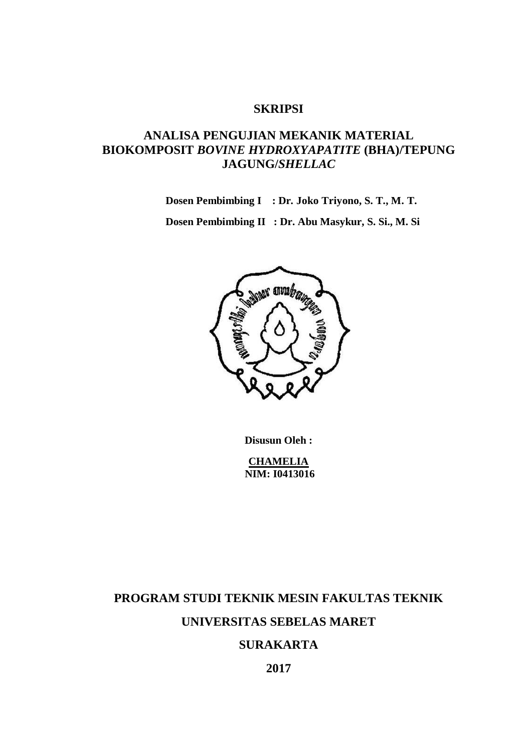### **SKRIPSI**

## **ANALISA PENGUJIAN MEKANIK MATERIAL BIOKOMPOSIT** *BOVINE HYDROXYAPATITE* **(BHA)/TEPUNG JAGUNG/***SHELLAC*

**Dosen Pembimbing I : Dr. Joko Triyono, S. T., M. T.**

**Dosen Pembimbing II : Dr. Abu Masykur, S. Si., M. Si**



**Disusun Oleh :**

**CHAMELIA NIM: I0413016**

# **PROGRAM STUDI TEKNIK MESIN FAKULTAS TEKNIK UNIVERSITAS SEBELAS MARET**

### **SURAKARTA**

**2017**